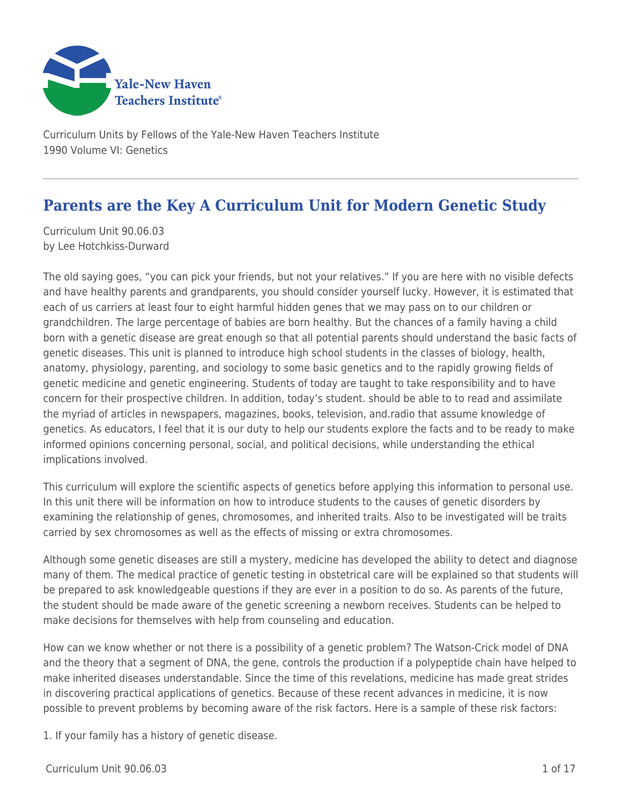

Curriculum Units by Fellows of the Yale-New Haven Teachers Institute 1990 Volume VI: Genetics

# **Parents are the Key A Curriculum Unit for Modern Genetic Study**

Curriculum Unit 90.06.03 by Lee Hotchkiss-Durward

The old saying goes, "you can pick your friends, but not your relatives." If you are here with no visible defects and have healthy parents and grandparents, you should consider yourself lucky. However, it is estimated that each of us carriers at least four to eight harmful hidden genes that we may pass on to our children or grandchildren. The large percentage of babies are born healthy. But the chances of a family having a child born with a genetic disease are great enough so that all potential parents should understand the basic facts of genetic diseases. This unit is planned to introduce high school students in the classes of biology, health, anatomy, physiology, parenting, and sociology to some basic genetics and to the rapidly growing fields of genetic medicine and genetic engineering. Students of today are taught to take responsibility and to have concern for their prospective children. In addition, today's student. should be able to to read and assimilate the myriad of articles in newspapers, magazines, books, television, and.radio that assume knowledge of genetics. As educators, I feel that it is our duty to help our students explore the facts and to be ready to make informed opinions concerning personal, social, and political decisions, while understanding the ethical implications involved.

This curriculum will explore the scientific aspects of genetics before applying this information to personal use. In this unit there will be information on how to introduce students to the causes of genetic disorders by examining the relationship of genes, chromosomes, and inherited traits. Also to be investigated will be traits carried by sex chromosomes as well as the effects of missing or extra chromosomes.

Although some genetic diseases are still a mystery, medicine has developed the ability to detect and diagnose many of them. The medical practice of genetic testing in obstetrical care will be explained so that students will be prepared to ask knowledgeable questions if they are ever in a position to do so. As parents of the future, the student should be made aware of the genetic screening a newborn receives. Students can be helped to make decisions for themselves with help from counseling and education.

How can we know whether or not there is a possibility of a genetic problem? The Watson-Crick model of DNA and the theory that a segment of DNA, the gene, controls the production if a polypeptide chain have helped to make inherited diseases understandable. Since the time of this revelations, medicine has made great strides in discovering practical applications of genetics. Because of these recent advances in medicine, it is now possible to prevent problems by becoming aware of the risk factors. Here is a sample of these risk factors:

1. If your family has a history of genetic disease.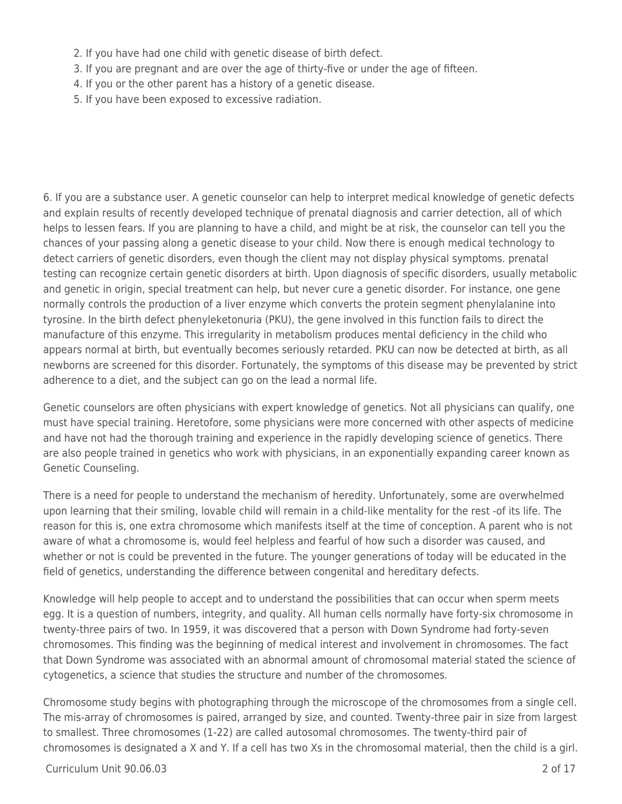- 2. If you have had one child with genetic disease of birth defect.
- 3. If you are pregnant and are over the age of thirty-five or under the age of fifteen.
- 4. If you or the other parent has a history of a genetic disease.
- 5. If you have been exposed to excessive radiation.

6. If you are a substance user. A genetic counselor can help to interpret medical knowledge of genetic defects and explain results of recently developed technique of prenatal diagnosis and carrier detection, all of which helps to lessen fears. If you are planning to have a child, and might be at risk, the counselor can tell you the chances of your passing along a genetic disease to your child. Now there is enough medical technology to detect carriers of genetic disorders, even though the client may not display physical symptoms. prenatal testing can recognize certain genetic disorders at birth. Upon diagnosis of specific disorders, usually metabolic and genetic in origin, special treatment can help, but never cure a genetic disorder. For instance, one gene normally controls the production of a liver enzyme which converts the protein segment phenylalanine into tyrosine. In the birth defect phenyleketonuria (PKU), the gene involved in this function fails to direct the manufacture of this enzyme. This irregularity in metabolism produces mental deficiency in the child who appears normal at birth, but eventually becomes seriously retarded. PKU can now be detected at birth, as all newborns are screened for this disorder. Fortunately, the symptoms of this disease may be prevented by strict adherence to a diet, and the subject can go on the lead a normal life.

Genetic counselors are often physicians with expert knowledge of genetics. Not all physicians can qualify, one must have special training. Heretofore, some physicians were more concerned with other aspects of medicine and have not had the thorough training and experience in the rapidly developing science of genetics. There are also people trained in genetics who work with physicians, in an exponentially expanding career known as Genetic Counseling.

There is a need for people to understand the mechanism of heredity. Unfortunately, some are overwhelmed upon learning that their smiling, lovable child will remain in a child-like mentality for the rest -of its life. The reason for this is, one extra chromosome which manifests itself at the time of conception. A parent who is not aware of what a chromosome is, would feel helpless and fearful of how such a disorder was caused, and whether or not is could be prevented in the future. The younger generations of today will be educated in the field of genetics, understanding the difference between congenital and hereditary defects.

Knowledge will help people to accept and to understand the possibilities that can occur when sperm meets egg. It is a question of numbers, integrity, and quality. All human cells normally have forty-six chromosome in twenty-three pairs of two. In 1959, it was discovered that a person with Down Syndrome had forty-seven chromosomes. This finding was the beginning of medical interest and involvement in chromosomes. The fact that Down Syndrome was associated with an abnormal amount of chromosomal material stated the science of cytogenetics, a science that studies the structure and number of the chromosomes.

Chromosome study begins with photographing through the microscope of the chromosomes from a single cell. The mis-array of chromosomes is paired, arranged by size, and counted. Twenty-three pair in size from largest to smallest. Three chromosomes (1-22) are called autosomal chromosomes. The twenty-third pair of chromosomes is designated a X and Y. If a cell has two Xs in the chromosomal material, then the child is a girl.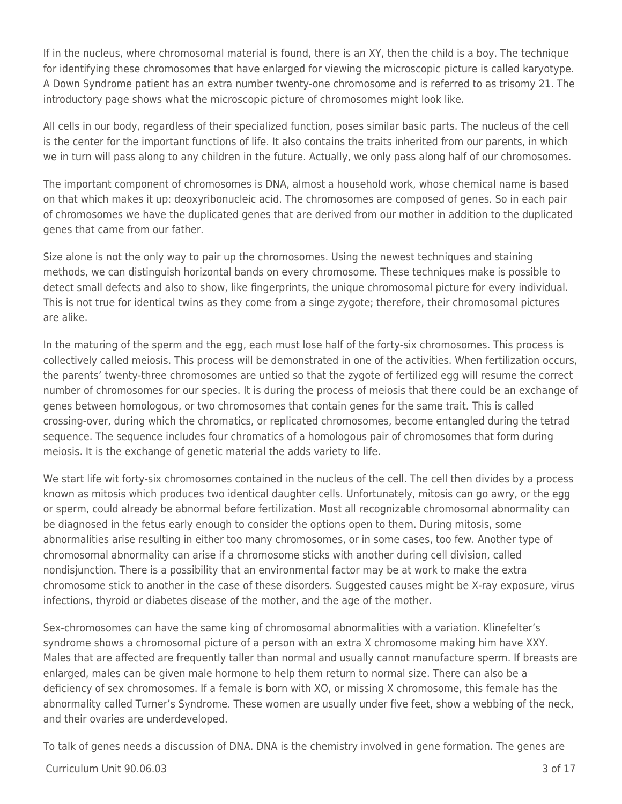If in the nucleus, where chromosomal material is found, there is an XY, then the child is a boy. The technique for identifying these chromosomes that have enlarged for viewing the microscopic picture is called karyotype. A Down Syndrome patient has an extra number twenty-one chromosome and is referred to as trisomy 21. The introductory page shows what the microscopic picture of chromosomes might look like.

All cells in our body, regardless of their specialized function, poses similar basic parts. The nucleus of the cell is the center for the important functions of life. It also contains the traits inherited from our parents, in which we in turn will pass along to any children in the future. Actually, we only pass along half of our chromosomes.

The important component of chromosomes is DNA, almost a household work, whose chemical name is based on that which makes it up: deoxyribonucleic acid. The chromosomes are composed of genes. So in each pair of chromosomes we have the duplicated genes that are derived from our mother in addition to the duplicated genes that came from our father.

Size alone is not the only way to pair up the chromosomes. Using the newest techniques and staining methods, we can distinguish horizontal bands on every chromosome. These techniques make is possible to detect small defects and also to show, like fingerprints, the unique chromosomal picture for every individual. This is not true for identical twins as they come from a singe zygote; therefore, their chromosomal pictures are alike.

In the maturing of the sperm and the egg, each must lose half of the forty-six chromosomes. This process is collectively called meiosis. This process will be demonstrated in one of the activities. When fertilization occurs, the parents' twenty-three chromosomes are untied so that the zygote of fertilized egg will resume the correct number of chromosomes for our species. It is during the process of meiosis that there could be an exchange of genes between homologous, or two chromosomes that contain genes for the same trait. This is called crossing-over, during which the chromatics, or replicated chromosomes, become entangled during the tetrad sequence. The sequence includes four chromatics of a homologous pair of chromosomes that form during meiosis. It is the exchange of genetic material the adds variety to life.

We start life wit forty-six chromosomes contained in the nucleus of the cell. The cell then divides by a process known as mitosis which produces two identical daughter cells. Unfortunately, mitosis can go awry, or the egg or sperm, could already be abnormal before fertilization. Most all recognizable chromosomal abnormality can be diagnosed in the fetus early enough to consider the options open to them. During mitosis, some abnormalities arise resulting in either too many chromosomes, or in some cases, too few. Another type of chromosomal abnormality can arise if a chromosome sticks with another during cell division, called nondisjunction. There is a possibility that an environmental factor may be at work to make the extra chromosome stick to another in the case of these disorders. Suggested causes might be X-ray exposure, virus infections, thyroid or diabetes disease of the mother, and the age of the mother.

Sex-chromosomes can have the same king of chromosomal abnormalities with a variation. Klinefelter's syndrome shows a chromosomal picture of a person with an extra X chromosome making him have XXY. Males that are affected are frequently taller than normal and usually cannot manufacture sperm. If breasts are enlarged, males can be given male hormone to help them return to normal size. There can also be a deficiency of sex chromosomes. If a female is born with XO, or missing X chromosome, this female has the abnormality called Turner's Syndrome. These women are usually under five feet, show a webbing of the neck, and their ovaries are underdeveloped.

To talk of genes needs a discussion of DNA. DNA is the chemistry involved in gene formation. The genes are

 $C$ urriculum Unit 90.06.03  $\sim$  3 of 17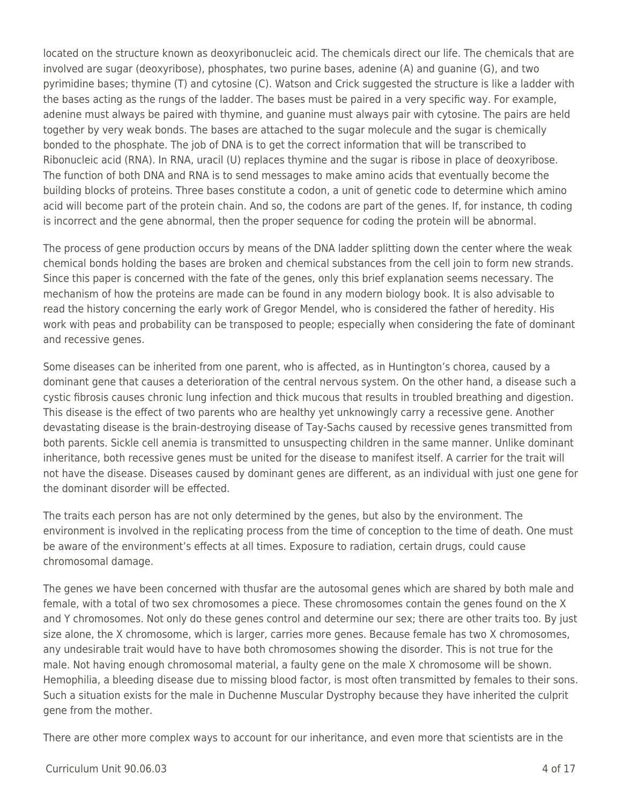located on the structure known as deoxyribonucleic acid. The chemicals direct our life. The chemicals that are involved are sugar (deoxyribose), phosphates, two purine bases, adenine (A) and guanine (G), and two pyrimidine bases; thymine (T) and cytosine (C). Watson and Crick suggested the structure is like a ladder with the bases acting as the rungs of the ladder. The bases must be paired in a very specific way. For example, adenine must always be paired with thymine, and guanine must always pair with cytosine. The pairs are held together by very weak bonds. The bases are attached to the sugar molecule and the sugar is chemically bonded to the phosphate. The job of DNA is to get the correct information that will be transcribed to Ribonucleic acid (RNA). In RNA, uracil (U) replaces thymine and the sugar is ribose in place of deoxyribose. The function of both DNA and RNA is to send messages to make amino acids that eventually become the building blocks of proteins. Three bases constitute a codon, a unit of genetic code to determine which amino acid will become part of the protein chain. And so, the codons are part of the genes. If, for instance, th coding is incorrect and the gene abnormal, then the proper sequence for coding the protein will be abnormal.

The process of gene production occurs by means of the DNA ladder splitting down the center where the weak chemical bonds holding the bases are broken and chemical substances from the cell join to form new strands. Since this paper is concerned with the fate of the genes, only this brief explanation seems necessary. The mechanism of how the proteins are made can be found in any modern biology book. It is also advisable to read the history concerning the early work of Gregor Mendel, who is considered the father of heredity. His work with peas and probability can be transposed to people; especially when considering the fate of dominant and recessive genes.

Some diseases can be inherited from one parent, who is affected, as in Huntington's chorea, caused by a dominant gene that causes a deterioration of the central nervous system. On the other hand, a disease such a cystic fibrosis causes chronic lung infection and thick mucous that results in troubled breathing and digestion. This disease is the effect of two parents who are healthy yet unknowingly carry a recessive gene. Another devastating disease is the brain-destroying disease of Tay-Sachs caused by recessive genes transmitted from both parents. Sickle cell anemia is transmitted to unsuspecting children in the same manner. Unlike dominant inheritance, both recessive genes must be united for the disease to manifest itself. A carrier for the trait will not have the disease. Diseases caused by dominant genes are different, as an individual with just one gene for the dominant disorder will be effected.

The traits each person has are not only determined by the genes, but also by the environment. The environment is involved in the replicating process from the time of conception to the time of death. One must be aware of the environment's effects at all times. Exposure to radiation, certain drugs, could cause chromosomal damage.

The genes we have been concerned with thusfar are the autosomal genes which are shared by both male and female, with a total of two sex chromosomes a piece. These chromosomes contain the genes found on the X and Y chromosomes. Not only do these genes control and determine our sex; there are other traits too. By just size alone, the X chromosome, which is larger, carries more genes. Because female has two X chromosomes, any undesirable trait would have to have both chromosomes showing the disorder. This is not true for the male. Not having enough chromosomal material, a faulty gene on the male X chromosome will be shown. Hemophilia, a bleeding disease due to missing blood factor, is most often transmitted by females to their sons. Such a situation exists for the male in Duchenne Muscular Dystrophy because they have inherited the culprit gene from the mother.

There are other more complex ways to account for our inheritance, and even more that scientists are in the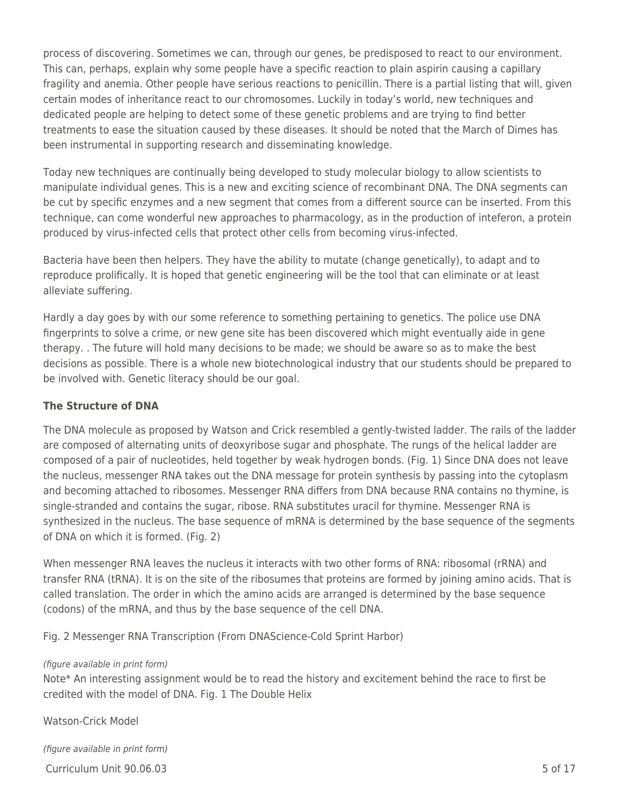process of discovering. Sometimes we can, through our genes, be predisposed to react to our environment. This can, perhaps, explain why some people have a specific reaction to plain aspirin causing a capillary fragility and anemia. Other people have serious reactions to penicillin. There is a partial listing that will, given certain modes of inheritance react to our chromosomes. Luckily in today's world, new techniques and dedicated people are helping to detect some of these genetic problems and are trying to find better treatments to ease the situation caused by these diseases. It should be noted that the March of Dimes has been instrumental in supporting research and disseminating knowledge.

Today new techniques are continually being developed to study molecular biology to allow scientists to manipulate individual genes. This is a new and exciting science of recombinant DNA. The DNA segments can be cut by specific enzymes and a new segment that comes from a different source can be inserted. From this technique, can come wonderful new approaches to pharmacology, as in the production of inteferon, a protein produced by virus-infected cells that protect other cells from becoming virus-infected.

Bacteria have been then helpers. They have the ability to mutate (change genetically), to adapt and to reproduce prolifically. It is hoped that genetic engineering will be the tool that can eliminate or at least alleviate suffering.

Hardly a day goes by with our some reference to something pertaining to genetics. The police use DNA fingerprints to solve a crime, or new gene site has been discovered which might eventually aide in gene therapy. . The future will hold many decisions to be made; we should be aware so as to make the best decisions as possible. There is a whole new biotechnological industry that our students should be prepared to be involved with. Genetic literacy should be our goal.

### **The Structure of DNA**

The DNA molecule as proposed by Watson and Crick resembled a gently-twisted ladder. The rails of the ladder are composed of alternating units of deoxyribose sugar and phosphate. The rungs of the helical ladder are composed of a pair of nucleotides, held together by weak hydrogen bonds. (Fig. 1) Since DNA does not leave the nucleus, messenger RNA takes out the DNA message for protein synthesis by passing into the cytoplasm and becoming attached to ribosomes. Messenger RNA differs from DNA because RNA contains no thymine, is single-stranded and contains the sugar, ribose. RNA substitutes uracil for thymine. Messenger RNA is synthesized in the nucleus. The base sequence of mRNA is determined by the base sequence of the segments of DNA on which it is formed. (Fig. 2)

When messenger RNA leaves the nucleus it interacts with two other forms of RNA: ribosomal (rRNA) and transfer RNA (tRNA). It is on the site of the ribosumes that proteins are formed by joining amino acids. That is called translation. The order in which the amino acids are arranged is determined by the base sequence (codons) of the mRNA, and thus by the base sequence of the cell DNA.

Fig. 2 Messenger RNA Transcription (From DNAScience-Cold Sprint Harbor)

#### (figure available in print form)

Note\* An interesting assignment would be to read the history and excitement behind the race to first be credited with the model of DNA. Fig. 1 The Double Helix

Watson-Crick Model

(figure available in print form)

 $C$ urriculum Unit 90.06.03  $\sim$  5 of 17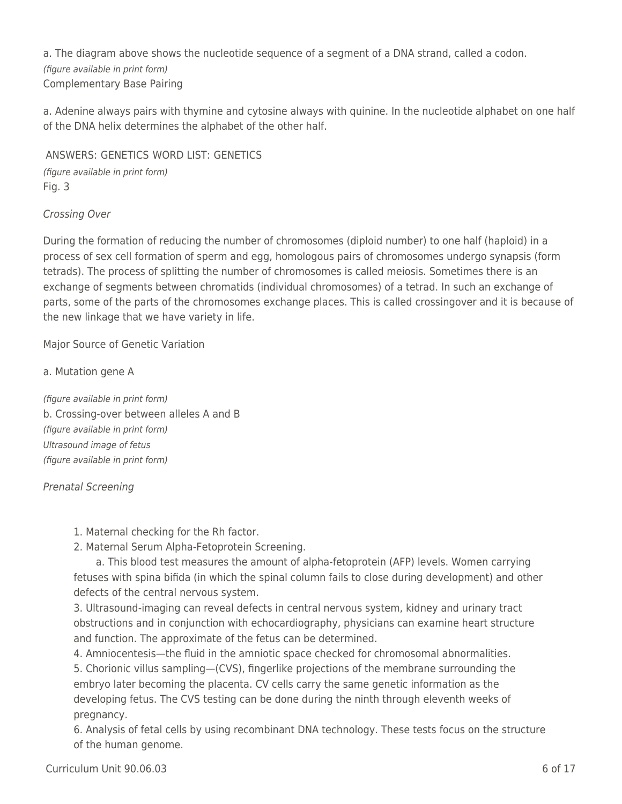a. The diagram above shows the nucleotide sequence of a segment of a DNA strand, called a codon. (figure available in print form) Complementary Base Pairing

a. Adenine always pairs with thymine and cytosine always with quinine. In the nucleotide alphabet on one half of the DNA helix determines the alphabet of the other half.

ANSWERS: GENETICS WORD LIST: GENETICS (figure available in print form) Fig. 3

Crossing Over

During the formation of reducing the number of chromosomes (diploid number) to one half (haploid) in a process of sex cell formation of sperm and egg, homologous pairs of chromosomes undergo synapsis (form tetrads). The process of splitting the number of chromosomes is called meiosis. Sometimes there is an exchange of segments between chromatids (individual chromosomes) of a tetrad. In such an exchange of parts, some of the parts of the chromosomes exchange places. This is called crossingover and it is because of the new linkage that we have variety in life.

Major Source of Genetic Variation

a. Mutation gene A

(figure available in print form) b. Crossing-over between alleles A and B (figure available in print form) Ultrasound image of fetus (figure available in print form)

Prenatal Screening

- 1. Maternal checking for the Rh factor.
- 2. Maternal Serum Alpha-Fetoprotein Screening.

a. This blood test measures the amount of alpha-fetoprotein (AFP) levels. Women carrying fetuses with spina bifida (in which the spinal column fails to close during development) and other defects of the central nervous system.

3. Ultrasound-imaging can reveal defects in central nervous system, kidney and urinary tract obstructions and in conjunction with echocardiography, physicians can examine heart structure and function. The approximate of the fetus can be determined.

4. Amniocentesis—the fluid in the amniotic space checked for chromosomal abnormalities. 5. Chorionic villus sampling—(CVS), fingerlike projections of the membrane surrounding the embryo later becoming the placenta. CV cells carry the same genetic information as the developing fetus. The CVS testing can be done during the ninth through eleventh weeks of pregnancy.

6. Analysis of fetal cells by using recombinant DNA technology. These tests focus on the structure of the human genome.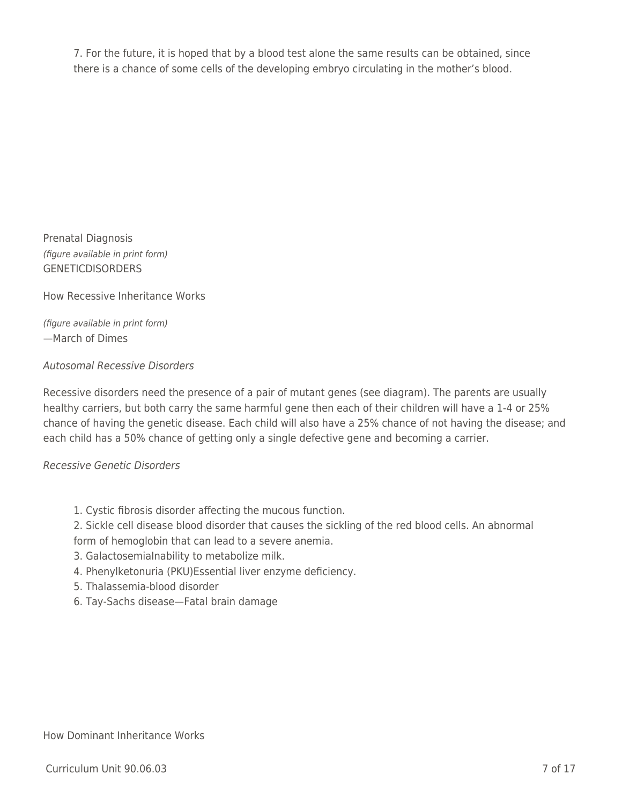7. For the future, it is hoped that by a blood test alone the same results can be obtained, since there is a chance of some cells of the developing embryo circulating in the mother's blood.

Prenatal Diagnosis (figure available in print form) **GENETICDISORDERS** 

How Recessive Inheritance Works

(figure available in print form) —March of Dimes

### Autosomal Recessive Disorders

Recessive disorders need the presence of a pair of mutant genes (see diagram). The parents are usually healthy carriers, but both carry the same harmful gene then each of their children will have a 1-4 or 25% chance of having the genetic disease. Each child will also have a 25% chance of not having the disease; and each child has a 50% chance of getting only a single defective gene and becoming a carrier.

#### Recessive Genetic Disorders

## 1. Cystic fibrosis disorder affecting the mucous function.

2. Sickle cell disease blood disorder that causes the sickling of the red blood cells. An abnormal form of hemoglobin that can lead to a severe anemia.

- 3. GalactosemiaInability to metabolize milk.
- 4. Phenylketonuria (PKU)Essential liver enzyme deficiency.
- 5. Thalassemia-blood disorder
- 6. Tay-Sachs disease—Fatal brain damage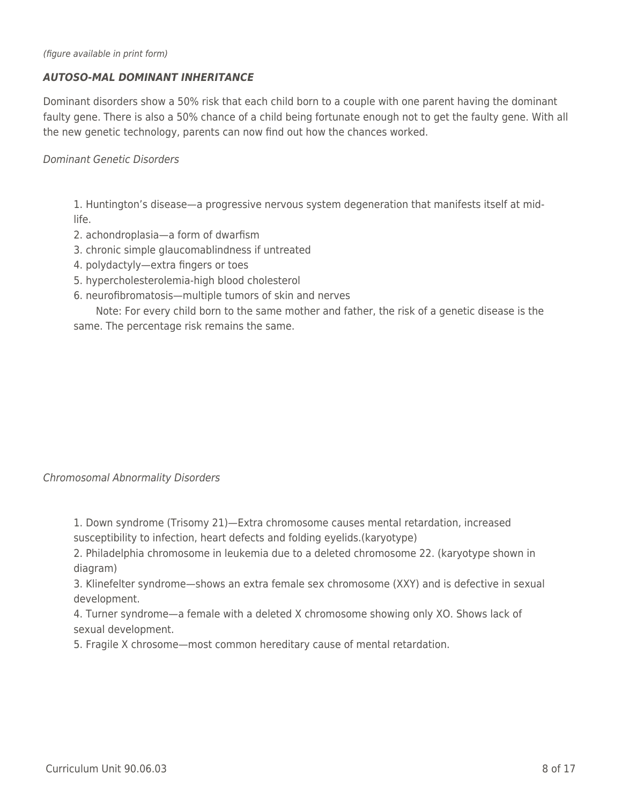### *AUTOSO-MAL DOMINANT INHERITANCE*

Dominant disorders show a 50% risk that each child born to a couple with one parent having the dominant faulty gene. There is also a 50% chance of a child being fortunate enough not to get the faulty gene. With all the new genetic technology, parents can now find out how the chances worked.

Dominant Genetic Disorders

1. Huntington's disease—a progressive nervous system degeneration that manifests itself at midlife.

- 2. achondroplasia—a form of dwarfism
- 3. chronic simple glaucomablindness if untreated
- 4. polydactyly—extra fingers or toes
- 5. hypercholesterolemia-high blood cholesterol
- 6. neurofibromatosis—multiple tumors of skin and nerves

Note: For every child born to the same mother and father, the risk of a genetic disease is the same. The percentage risk remains the same.

#### Chromosomal Abnormality Disorders

1. Down syndrome (Trisomy 21)—Extra chromosome causes mental retardation, increased susceptibility to infection, heart defects and folding eyelids.(karyotype)

2. Philadelphia chromosome in leukemia due to a deleted chromosome 22. (karyotype shown in diagram)

3. Klinefelter syndrome—shows an extra female sex chromosome (XXY) and is defective in sexual development.

4. Turner syndrome—a female with a deleted X chromosome showing only XO. Shows lack of sexual development.

5. Fragile X chrosome—most common hereditary cause of mental retardation.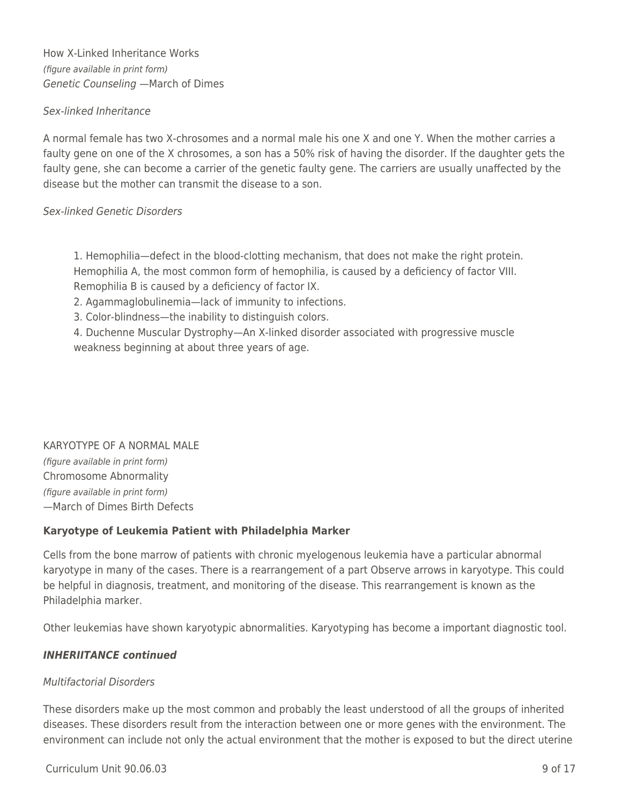How X-Linked Inheritance Works (figure available in print form) Genetic Counseling —March of Dimes

### Sex-linked Inheritance

A normal female has two X-chrosomes and a normal male his one X and one Y. When the mother carries a faulty gene on one of the X chrosomes, a son has a 50% risk of having the disorder. If the daughter gets the faulty gene, she can become a carrier of the genetic faulty gene. The carriers are usually unaffected by the disease but the mother can transmit the disease to a son.

## Sex-linked Genetic Disorders

1. Hemophilia—defect in the blood-clotting mechanism, that does not make the right protein. Hemophilia A, the most common form of hemophilia, is caused by a deficiency of factor VIII. Remophilia B is caused by a deficiency of factor IX.

2. Agammaglobulinemia—lack of immunity to infections.

3. Color-blindness—the inability to distinguish colors.

4. Duchenne Muscular Dystrophy—An X-linked disorder associated with progressive muscle weakness beginning at about three years of age.

#### KARYOTYPE OF A NORMAL MALE

(figure available in print form) Chromosome Abnormality (figure available in print form) —March of Dimes Birth Defects

## **Karyotype of Leukemia Patient with Philadelphia Marker**

Cells from the bone marrow of patients with chronic myelogenous leukemia have a particular abnormal karyotype in many of the cases. There is a rearrangement of a part Observe arrows in karyotype. This could be helpful in diagnosis, treatment, and monitoring of the disease. This rearrangement is known as the Philadelphia marker.

Other leukemias have shown karyotypic abnormalities. Karyotyping has become a important diagnostic tool.

## *INHERIITANCE continued*

## Multifactorial Disorders

These disorders make up the most common and probably the least understood of all the groups of inherited diseases. These disorders result from the interaction between one or more genes with the environment. The environment can include not only the actual environment that the mother is exposed to but the direct uterine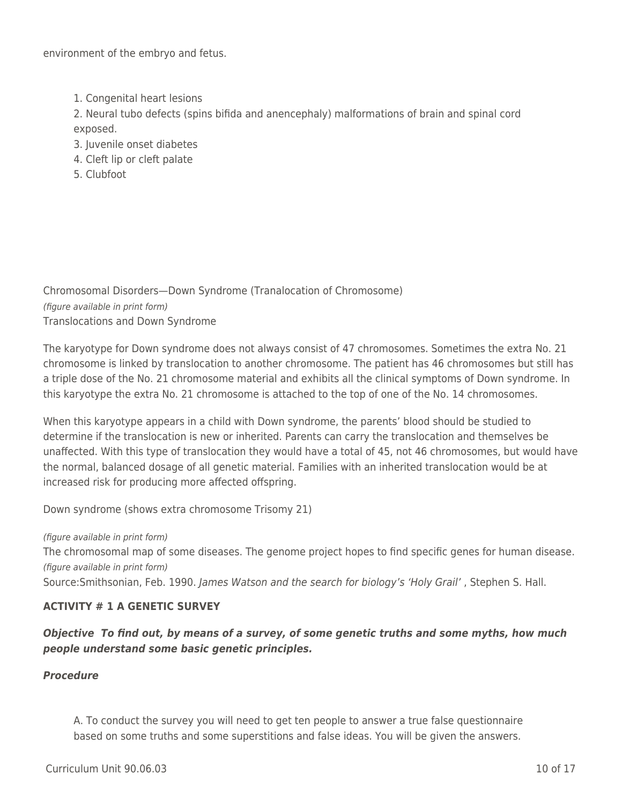environment of the embryo and fetus.

1. Congenital heart lesions

2. Neural tubo defects (spins bifida and anencephaly) malformations of brain and spinal cord exposed.

- 3. Juvenile onset diabetes
- 4. Cleft lip or cleft palate
- 5. Clubfoot

Chromosomal Disorders—Down Syndrome (Tranalocation of Chromosome) (figure available in print form) Translocations and Down Syndrome

The karyotype for Down syndrome does not always consist of 47 chromosomes. Sometimes the extra No. 21 chromosome is linked by translocation to another chromosome. The patient has 46 chromosomes but still has a triple dose of the No. 21 chromosome material and exhibits all the clinical symptoms of Down syndrome. In this karyotype the extra No. 21 chromosome is attached to the top of one of the No. 14 chromosomes.

When this karyotype appears in a child with Down syndrome, the parents' blood should be studied to determine if the translocation is new or inherited. Parents can carry the translocation and themselves be unaffected. With this type of translocation they would have a total of 45, not 46 chromosomes, but would have the normal, balanced dosage of all genetic material. Families with an inherited translocation would be at increased risk for producing more affected offspring.

Down syndrome (shows extra chromosome Trisomy 21)

(figure available in print form) The chromosomal map of some diseases. The genome project hopes to find specific genes for human disease. (figure available in print form) Source:Smithsonian, Feb. 1990. James Watson and the search for biology's 'Holy Grail' , Stephen S. Hall.

## **ACTIVITY # 1 A GENETIC SURVEY**

## *Objective To find out, by means of a survey, of some genetic truths and some myths, how much people understand some basic genetic principles.*

## *Procedure*

A. To conduct the survey you will need to get ten people to answer a true false questionnaire based on some truths and some superstitions and false ideas. You will be given the answers.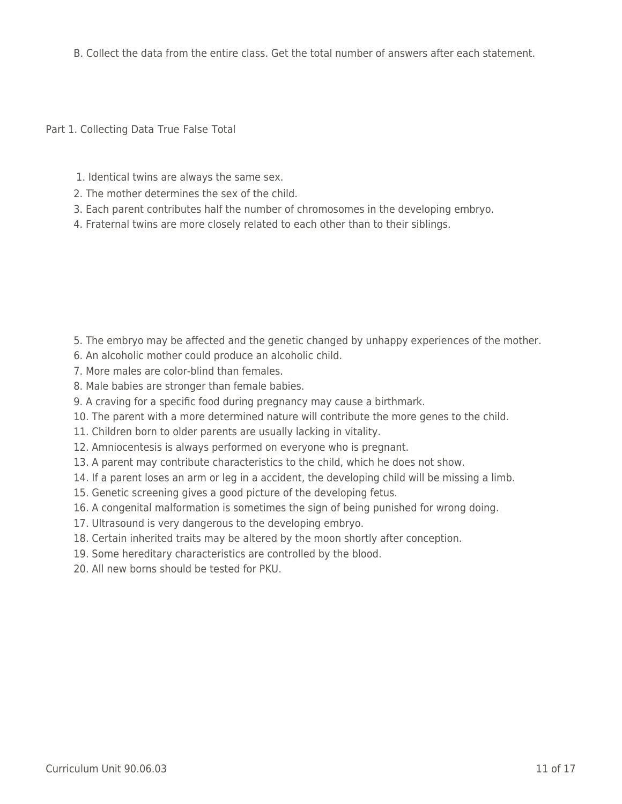B. Collect the data from the entire class. Get the total number of answers after each statement.

Part 1. Collecting Data True False Total

- 1. Identical twins are always the same sex.
- 2. The mother determines the sex of the child.
- 3. Each parent contributes half the number of chromosomes in the developing embryo.
- 4. Fraternal twins are more closely related to each other than to their siblings.

- 5. The embryo may be affected and the genetic changed by unhappy experiences of the mother.
- 6. An alcoholic mother could produce an alcoholic child.
- 7. More males are color-blind than females.
- 8. Male babies are stronger than female babies.
- 9. A craving for a specific food during pregnancy may cause a birthmark.
- 10. The parent with a more determined nature will contribute the more genes to the child.
- 11. Children born to older parents are usually lacking in vitality.
- 12. Amniocentesis is always performed on everyone who is pregnant.
- 13. A parent may contribute characteristics to the child, which he does not show.
- 14. If a parent loses an arm or leg in a accident, the developing child will be missing a limb.
- 15. Genetic screening gives a good picture of the developing fetus.
- 16. A congenital malformation is sometimes the sign of being punished for wrong doing.
- 17. Ultrasound is very dangerous to the developing embryo.
- 18. Certain inherited traits may be altered by the moon shortly after conception.
- 19. Some hereditary characteristics are controlled by the blood.
- 20. All new borns should be tested for PKU.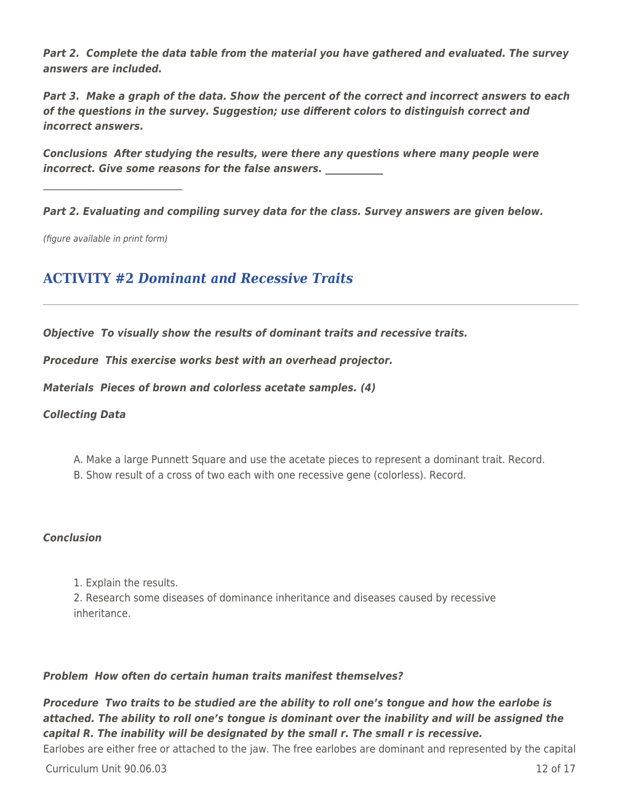*Part 2. Complete the data table from the material you have gathered and evaluated. The survey answers are included.*

*Part 3. Make a graph of the data. Show the percent of the correct and incorrect answers to each of the questions in the survey. Suggestion; use different colors to distinguish correct and incorrect answers.*

*Conclusions After studying the results, were there any questions where many people were incorrect. Give some reasons for the false answers.* 

*Part 2. Evaluating and compiling survey data for the class. Survey answers are given below.*

(figure available in print form)

 $\mathcal{L}_\mathcal{L}$  , where  $\mathcal{L}_\mathcal{L}$  is the set of the set of the set of the set of the set of the set of the set of the set of the set of the set of the set of the set of the set of the set of the set of the set of the

## **ACTIVITY #2** *Dominant and Recessive Traits*

*Objective To visually show the results of dominant traits and recessive traits.*

*Procedure This exercise works best with an overhead projector.*

*Materials Pieces of brown and colorless acetate samples. (4)*

#### *Collecting Data*

- A. Make a large Punnett Square and use the acetate pieces to represent a dominant trait. Record.
- B. Show result of a cross of two each with one recessive gene (colorless). Record.

#### *Conclusion*

1. Explain the results.

2. Research some diseases of dominance inheritance and diseases caused by recessive inheritance.

#### *Problem How often do certain human traits manifest themselves?*

*Procedure Two traits to be studied are the ability to roll one's tongue and how the earlobe is attached. The ability to roll one's tongue is dominant over the inability and will be assigned the capital R. The inability will be designated by the small r. The small r is recessive.*

Earlobes are either free or attached to the jaw. The free earlobes are dominant and represented by the capital

Curriculum Unit 90.06.03 12 of 17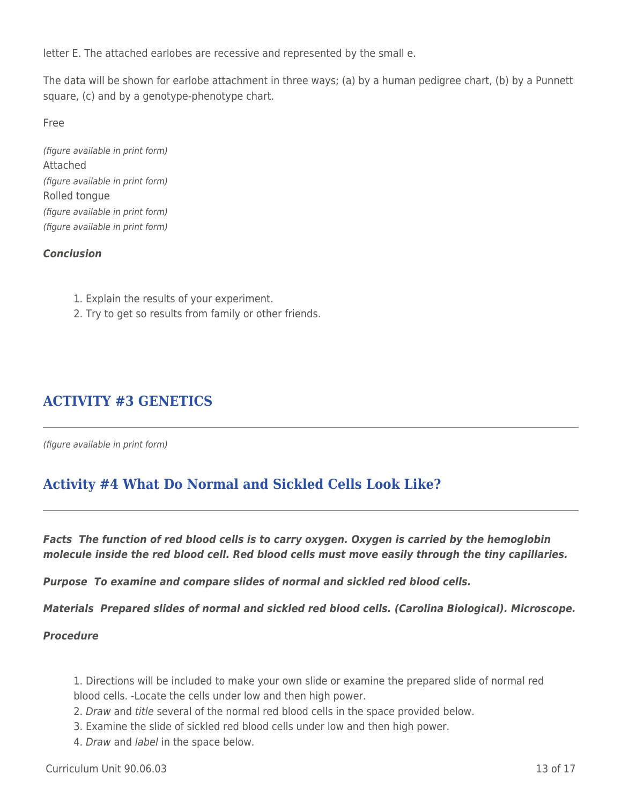letter E. The attached earlobes are recessive and represented by the small e.

The data will be shown for earlobe attachment in three ways; (a) by a human pedigree chart, (b) by a Punnett square, (c) and by a genotype-phenotype chart.

Free

(figure available in print form) Attached (figure available in print form) Rolled tongue (figure available in print form) (figure available in print form)

### *Conclusion*

- 1. Explain the results of your experiment.
- 2. Try to get so results from family or other friends.

# **ACTIVITY #3 GENETICS**

(figure available in print form)

# **Activity #4 What Do Normal and Sickled Cells Look Like?**

*Facts The function of red blood cells is to carry oxygen. Oxygen is carried by the hemoglobin molecule inside the red blood cell. Red blood cells must move easily through the tiny capillaries.*

*Purpose To examine and compare slides of normal and sickled red blood cells.*

*Materials Prepared slides of normal and sickled red blood cells. (Carolina Biological). Microscope.*

#### *Procedure*

1. Directions will be included to make your own slide or examine the prepared slide of normal red blood cells. -Locate the cells under low and then high power.

- 2. Draw and title several of the normal red blood cells in the space provided below.
- 3. Examine the slide of sickled red blood cells under low and then high power.
- 4. Draw and label in the space below.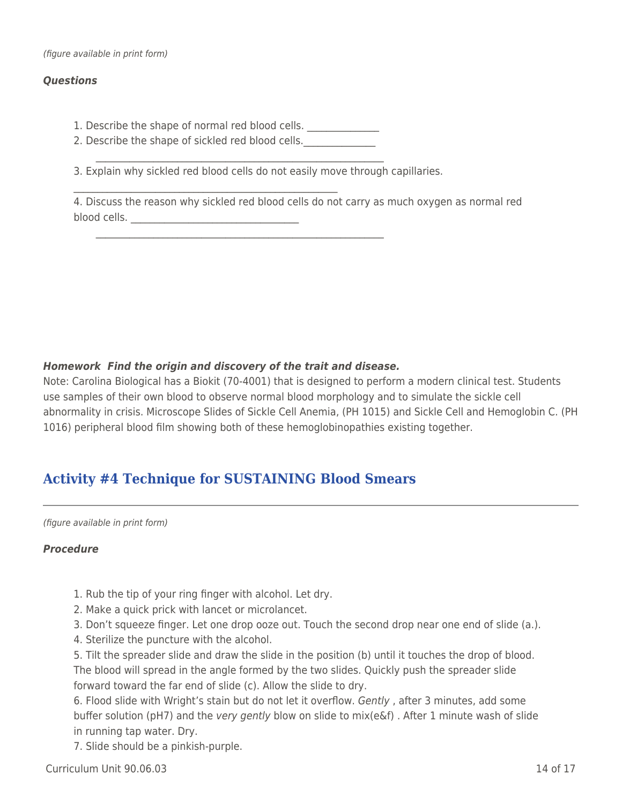#### *Questions*

1. Describe the shape of normal red blood cells. \_\_\_\_\_\_\_\_\_\_\_\_\_\_\_\_\_\_\_\_\_\_\_\_\_\_\_\_\_\_\_

 $\mathcal{L}_\text{max} = \mathcal{L}_\text{max} = \mathcal{L}_\text{max} = \mathcal{L}_\text{max} = \mathcal{L}_\text{max} = \mathcal{L}_\text{max} = \mathcal{L}_\text{max} = \mathcal{L}_\text{max} = \mathcal{L}_\text{max} = \mathcal{L}_\text{max} = \mathcal{L}_\text{max} = \mathcal{L}_\text{max} = \mathcal{L}_\text{max} = \mathcal{L}_\text{max} = \mathcal{L}_\text{max} = \mathcal{L}_\text{max} = \mathcal{L}_\text{max} = \mathcal{L}_\text{max} = \mathcal{$ 

2. Describe the shape of sickled red blood cells.

3. Explain why sickled red blood cells do not easily move through capillaries.

 $\mathcal{L}=\sum_{i=1}^n\frac{1}{i!}\sum_{i=1}^n\frac{1}{i!}\sum_{i=1}^n\frac{1}{i!}\sum_{i=1}^n\frac{1}{i!}\sum_{i=1}^n\frac{1}{i!}\sum_{i=1}^n\frac{1}{i!}\sum_{i=1}^n\frac{1}{i!}\sum_{i=1}^n\frac{1}{i!}\sum_{i=1}^n\frac{1}{i!}\sum_{i=1}^n\frac{1}{i!}\sum_{i=1}^n\frac{1}{i!}\sum_{i=1}^n\frac{1}{i!}\sum_{i=1}^n\frac{1}{i!}\sum_{i=1$ 

 $\mathcal{L}=\sum_{i=1}^n\frac{1}{i!}\sum_{i=1}^n\frac{1}{i!}\sum_{i=1}^n\frac{1}{i!}\sum_{i=1}^n\frac{1}{i!}\sum_{i=1}^n\frac{1}{i!}\sum_{i=1}^n\frac{1}{i!}\sum_{i=1}^n\frac{1}{i!}\sum_{i=1}^n\frac{1}{i!}\sum_{i=1}^n\frac{1}{i!}\sum_{i=1}^n\frac{1}{i!}\sum_{i=1}^n\frac{1}{i!}\sum_{i=1}^n\frac{1}{i!}\sum_{i=1}^n\frac{1}{i!}\sum_{i=1$ 

4. Discuss the reason why sickled red blood cells do not carry as much oxygen as normal red blood cells. \_\_\_\_\_\_\_\_\_\_\_\_\_\_\_\_\_\_\_\_\_\_\_\_\_\_\_\_\_\_\_\_\_\_\_

### *Homework Find the origin and discovery of the trait and disease.*

Note: Carolina Biological has a Biokit (70-4001) that is designed to perform a modern clinical test. Students use samples of their own blood to observe normal blood morphology and to simulate the sickle cell abnormality in crisis. Microscope Slides of Sickle Cell Anemia, (PH 1015) and Sickle Cell and Hemoglobin C. (PH 1016) peripheral blood film showing both of these hemoglobinopathies existing together.

# **Activity #4 Technique for SUSTAINING Blood Smears**

(figure available in print form)

#### *Procedure*

- 1. Rub the tip of your ring finger with alcohol. Let dry.
- 2. Make a quick prick with lancet or microlancet.
- 3. Don't squeeze finger. Let one drop ooze out. Touch the second drop near one end of slide (a.).
- 4. Sterilize the puncture with the alcohol.

5. Tilt the spreader slide and draw the slide in the position (b) until it touches the drop of blood. The blood will spread in the angle formed by the two slides. Quickly push the spreader slide forward toward the far end of slide (c). Allow the slide to dry.

6. Flood slide with Wright's stain but do not let it overflow. Gently , after 3 minutes, add some buffer solution (pH7) and the very gently blow on slide to mix(e&f) . After 1 minute wash of slide in running tap water. Dry.

7. Slide should be a pinkish-purple.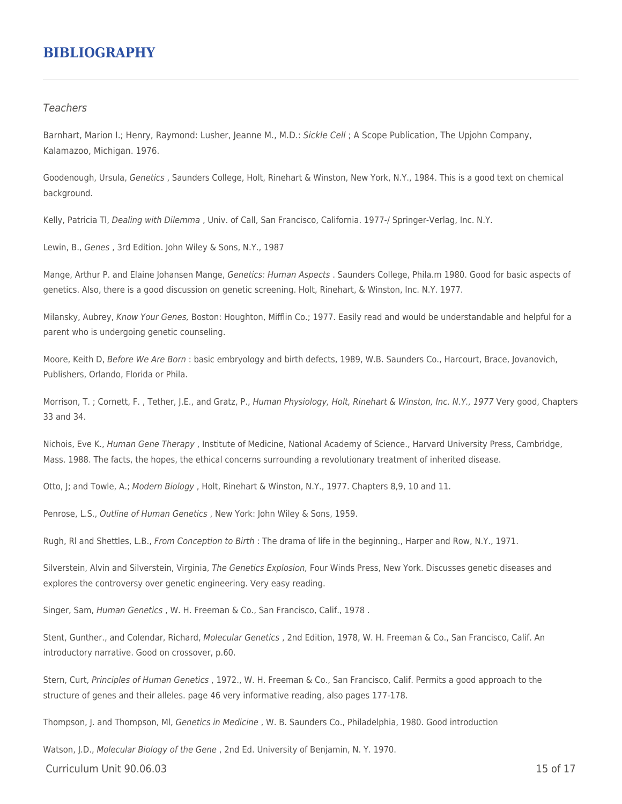## **BIBLIOGRAPHY**

#### **Teachers**

Barnhart, Marion I.; Henry, Raymond: Lusher, Jeanne M., M.D.: Sickle Cell; A Scope Publication, The Upjohn Company, Kalamazoo, Michigan. 1976.

Goodenough, Ursula, Genetics , Saunders College, Holt, Rinehart & Winston, New York, N.Y., 1984. This is a good text on chemical background.

Kelly, Patricia Tl, Dealing with Dilemma, Univ. of Call, San Francisco, California. 1977-/ Springer-Verlag, Inc. N.Y.

Lewin, B., Genes , 3rd Edition. John Wiley & Sons, N.Y., 1987

Mange, Arthur P. and Elaine Johansen Mange, Genetics: Human Aspects . Saunders College, Phila.m 1980. Good for basic aspects of genetics. Also, there is a good discussion on genetic screening. Holt, Rinehart, & Winston, Inc. N.Y. 1977.

Milansky, Aubrey, Know Your Genes, Boston: Houghton, Mifflin Co.; 1977. Easily read and would be understandable and helpful for a parent who is undergoing genetic counseling.

Moore, Keith D, Before We Are Born : basic embryology and birth defects, 1989, W.B. Saunders Co., Harcourt, Brace, Jovanovich, Publishers, Orlando, Florida or Phila.

Morrison, T.; Cornett, F., Tether, J.E., and Gratz, P., Human Physiology, Holt, Rinehart & Winston, Inc. N.Y., 1977 Very good, Chapters 33 and 34.

Nichois, Eve K., Human Gene Therapy , Institute of Medicine, National Academy of Science., Harvard University Press, Cambridge, Mass. 1988. The facts, the hopes, the ethical concerns surrounding a revolutionary treatment of inherited disease.

Otto, J; and Towle, A.; Modern Biology, Holt, Rinehart & Winston, N.Y., 1977. Chapters 8,9, 10 and 11.

Penrose, L.S., Outline of Human Genetics , New York: John Wiley & Sons, 1959.

Rugh, Rl and Shettles, L.B., From Conception to Birth : The drama of life in the beginning., Harper and Row, N.Y., 1971.

Silverstein, Alvin and Silverstein, Virginia, The Genetics Explosion, Four Winds Press, New York. Discusses genetic diseases and explores the controversy over genetic engineering. Very easy reading.

Singer, Sam, Human Genetics , W. H. Freeman & Co., San Francisco, Calif., 1978 .

Stent, Gunther., and Colendar, Richard, Molecular Genetics , 2nd Edition, 1978, W. H. Freeman & Co., San Francisco, Calif. An introductory narrative. Good on crossover, p.60.

Stern, Curt, Principles of Human Genetics , 1972., W. H. Freeman & Co., San Francisco, Calif. Permits a good approach to the structure of genes and their alleles. page 46 very informative reading, also pages 177-178.

Thompson, J. and Thompson, Ml, Genetics in Medicine , W. B. Saunders Co., Philadelphia, 1980. Good introduction

 $C$ urriculum Unit 90.06.03 15 of 17 Watson, J.D., Molecular Biology of the Gene, 2nd Ed. University of Benjamin, N.Y. 1970.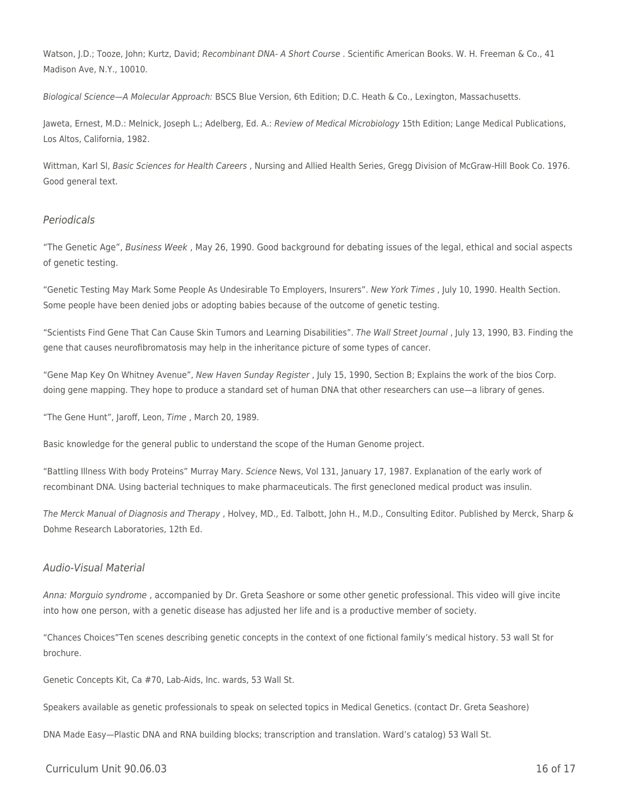Watson, J.D.; Tooze, John; Kurtz, David; Recombinant DNA- A Short Course . Scientific American Books. W. H. Freeman & Co., 41 Madison Ave, N.Y., 10010.

Biological Science—A Molecular Approach: BSCS Blue Version, 6th Edition; D.C. Heath & Co., Lexington, Massachusetts.

Jaweta, Ernest, M.D.: Melnick, Joseph L.; Adelberg, Ed. A.: Review of Medical Microbiology 15th Edition; Lange Medical Publications, Los Altos, California, 1982.

Wittman, Karl SI, Basic Sciences for Health Careers, Nursing and Allied Health Series, Gregg Division of McGraw-Hill Book Co. 1976. Good general text.

#### Periodicals

"The Genetic Age", Business Week , May 26, 1990. Good background for debating issues of the legal, ethical and social aspects of genetic testing.

"Genetic Testing May Mark Some People As Undesirable To Employers, Insurers". New York Times , July 10, 1990. Health Section. Some people have been denied jobs or adopting babies because of the outcome of genetic testing.

"Scientists Find Gene That Can Cause Skin Tumors and Learning Disabilities". The Wall Street Journal , July 13, 1990, B3. Finding the gene that causes neurofibromatosis may help in the inheritance picture of some types of cancer.

"Gene Map Key On Whitney Avenue", New Haven Sunday Register , July 15, 1990, Section B; Explains the work of the bios Corp. doing gene mapping. They hope to produce a standard set of human DNA that other researchers can use—a library of genes.

"The Gene Hunt", Jaroff, Leon, Time , March 20, 1989.

Basic knowledge for the general public to understand the scope of the Human Genome project.

"Battling Illness With body Proteins" Murray Mary. Science News, Vol 131, January 17, 1987. Explanation of the early work of recombinant DNA. Using bacterial techniques to make pharmaceuticals. The first genecloned medical product was insulin.

The Merck Manual of Diagnosis and Therapy , Holvey, MD., Ed. Talbott, John H., M.D., Consulting Editor. Published by Merck, Sharp & Dohme Research Laboratories, 12th Ed.

#### Audio-Visual Material

Anna: Morguio syndrome , accompanied by Dr. Greta Seashore or some other genetic professional. This video will give incite into how one person, with a genetic disease has adjusted her life and is a productive member of society.

"Chances Choices"Ten scenes describing genetic concepts in the context of one fictional family's medical history. 53 wall St for brochure.

Genetic Concepts Kit, Ca #70, Lab-Aids, Inc. wards, 53 Wall St.

Speakers available as genetic professionals to speak on selected topics in Medical Genetics. (contact Dr. Greta Seashore)

DNA Made Easy—Plastic DNA and RNA building blocks; transcription and translation. Ward's catalog) 53 Wall St.

 $C$ urriculum Unit 90.06.03 16 of 17